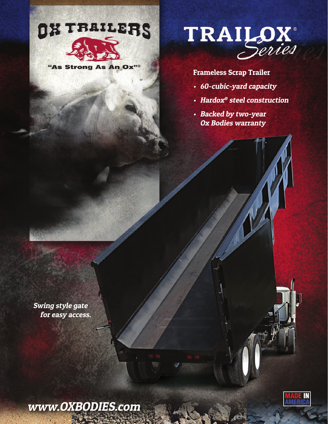

"As Strong As An Ox"



## Frameless Scrap Trailer

- 60-cubic-yard capacity
- Hardox® steel construction
- Backed by two-year Ox Bodies warranty

Swing style gate for easy access.